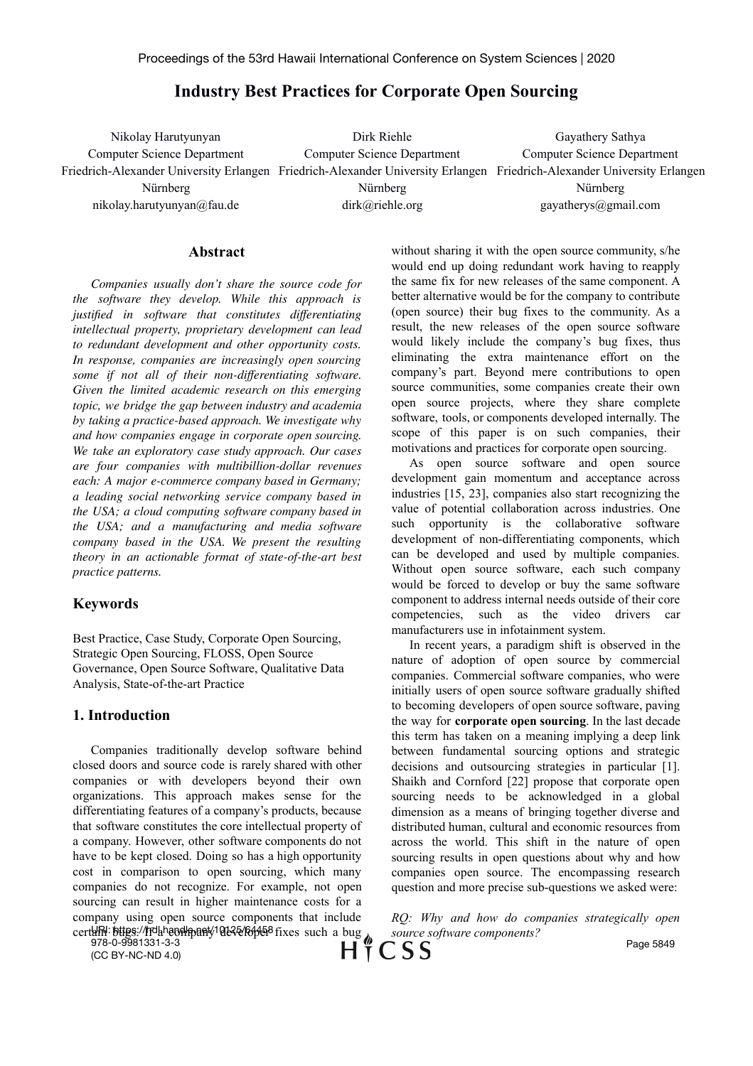# **Industry Best Practices for Corporate Open Sourcing**

Nikolay Harutyunyan Computer Science Department Friedrich-Alexander University Erlangen Friedrich-Alexander University Erlangen Friedrich-Alexander University Erlangen Nürnberg nikolay.harutyunyan@fau.de Dirk Riehle Computer Science Department Nürnberg dirk@riehle.org Gayathery Sathya Computer Science Department Nürnberg gayatherys@gmail.com

#### **Abstract**

*Companies usually don't share the source code for the software they develop. While this approach is justified in software that constitutes differentiating intellectual property, proprietary development can lead to redundant development and other opportunity costs. In response, companies are increasingly open sourcing some if not all of their non-differentiating software. Given the limited academic research on this emerging topic, we bridge the gap between industry and academia by taking a practice-based approach. We investigate why and how companies engage in corporate open sourcing. We take an exploratory case study approach. Our cases are four companies with multibillion-dollar revenues each: A major e-commerce company based in Germany; a leading social networking service company based in the USA; a cloud computing software company based in the USA; and a manufacturing and media software company based in the USA. We present the resulting theory in an actionable format of state-of-the-art best practice patterns.*

## **Keywords**

Best Practice, Case Study, Corporate Open Sourcing, Strategic Open Sourcing, FLOSS, Open Source Governance, Open Source Software, Qualitative Data Analysis, State-of-the-art Practice

## **1. Introduction**

Companies traditionally develop software behind closed doors and source code is rarely shared with other companies or with developers beyond their own organizations. This approach makes sense for the differentiating features of a company's products, because that software constitutes the core intellectual property of a company. However, other software components do not have to be kept closed. Doing so has a high opportunity cost in comparison to open sourcing, which many companies do not recognize. For example, not open sourcing can result in higher maintenance costs for a company using open source components that include certam: bttps://hdhandlpany10125/64458 fixes such a bug

without sharing it with the open source community, s/he would end up doing redundant work having to reapply the same fix for new releases of the same component. A better alternative would be for the company to contribute (open source) their bug fixes to the community. As a result, the new releases of the open source software would likely include the company's bug fixes, thus eliminating the extra maintenance effort on the company's part. Beyond mere contributions to open source communities, some companies create their own open source projects, where they share complete software, tools, or components developed internally. The scope of this paper is on such companies, their motivations and practices for corporate open sourcing.

As open source software and open source development gain momentum and acceptance across industries [15, 23], companies also start recognizing the value of potential collaboration across industries. One such opportunity is the collaborative software development of non-differentiating components, which can be developed and used by multiple companies. Without open source software, each such company would be forced to develop or buy the same software component to address internal needs outside of their core competencies, such as the video drivers car manufacturers use in infotainment system.

In recent years, a paradigm shift is observed in the nature of adoption of open source by commercial companies. Commercial software companies, who were initially users of open source software gradually shifted to becoming developers of open source software, paving the way for **corporate open sourcing**. In the last decade this term has taken on a meaning implying a deep link between fundamental sourcing options and strategic decisions and outsourcing strategies in particular [1]. Shaikh and Cornford [22] propose that corporate open sourcing needs to be acknowledged in a global dimension as a means of bringing together diverse and distributed human, cultural and economic resources from across the world. This shift in the nature of open sourcing results in open questions about why and how companies open source. The encompassing research question and more precise sub-questions we asked were:

*RQ: Why and how do companies strategically open source software components?*

978-0-9981331-3-3 (CC BY-NC-ND 4.0)

CSS НŤ

Page 5849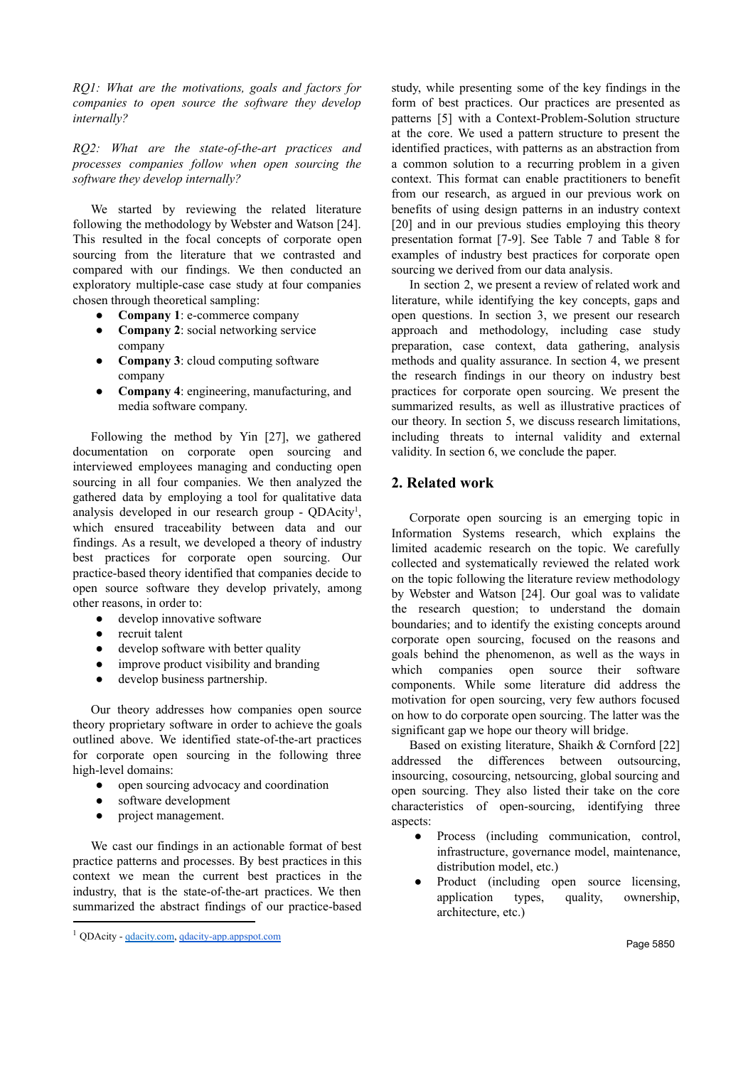*RQ1: What are the motivations, goals and factors for companies to open source the software they develop internally?*

*RQ2: What are the state-of-the-art practices and processes companies follow when open sourcing the software they develop internally?*

We started by reviewing the related literature following the methodology by Webster and Watson [24]. This resulted in the focal concepts of corporate open sourcing from the literature that we contrasted and compared with our findings. We then conducted an exploratory multiple-case case study at four companies chosen through theoretical sampling:

- **Company 1**: e-commerce company
- **Company 2**: social networking service company
- **Company 3**: cloud computing software company
- **Company 4**: engineering, manufacturing, and media software company.

Following the method by Yin [27], we gathered documentation on corporate open sourcing and interviewed employees managing and conducting open sourcing in all four companies. We then analyzed the gathered data by employing a tool for qualitative data analysis developed in our research group - QDAcity<sup>1</sup>, which ensured traceability between data and our findings. As a result, we developed a theory of industry best practices for corporate open sourcing. Our practice-based theory identified that companies decide to open source software they develop privately, among other reasons, in order to:

- develop innovative software
- recruit talent
- develop software with better quality
- improve product visibility and branding
- develop business partnership.

Our theory addresses how companies open source theory proprietary software in order to achieve the goals outlined above. We identified state-of-the-art practices for corporate open sourcing in the following three high-level domains:

- open sourcing advocacy and coordination
- software development
- project management.

We cast our findings in an actionable format of best practice patterns and processes. By best practices in this context we mean the current best practices in the industry, that is the state-of-the-art practices. We then summarized the abstract findings of our practice-based study, while presenting some of the key findings in the form of best practices. Our practices are presented as patterns [5] with a Context-Problem-Solution structure at the core. We used a pattern structure to present the identified practices, with patterns as an abstraction from a common solution to a recurring problem in a given context. This format can enable practitioners to benefit from our research, as argued in our previous work on benefits of using design patterns in an industry context [20] and in our previous studies employing this theory presentation format [7-9]. See Table 7 and Table 8 for examples of industry best practices for corporate open sourcing we derived from our data analysis.

In section 2, we present a review of related work and literature, while identifying the key concepts, gaps and open questions. In section 3, we present our research approach and methodology, including case study preparation, case context, data gathering, analysis methods and quality assurance. In section 4, we present the research findings in our theory on industry best practices for corporate open sourcing. We present the summarized results, as well as illustrative practices of our theory. In section 5, we discuss research limitations, including threats to internal validity and external validity. In section 6, we conclude the paper.

## **2. Related work**

Corporate open sourcing is an emerging topic in Information Systems research, which explains the limited academic research on the topic. We carefully collected and systematically reviewed the related work on the topic following the literature review methodology by Webster and Watson [24]. Our goal was to validate the research question; to understand the domain boundaries; and to identify the existing concepts around corporate open sourcing, focused on the reasons and goals behind the phenomenon, as well as the ways in which companies open source their software components. While some literature did address the motivation for open sourcing, very few authors focused on how to do corporate open sourcing. The latter was the significant gap we hope our theory will bridge.

Based on existing literature, Shaikh & Cornford [22] addressed the differences between outsourcing, insourcing, cosourcing, netsourcing, global sourcing and open sourcing. They also listed their take on the core characteristics of open-sourcing, identifying three aspects:

- Process (including communication, control, infrastructure, governance model, maintenance, distribution model, etc.)
- Product (including open source licensing, application types, quality, ownership, architecture, etc.)

<sup>1</sup> QDAcity - [qdacity.com,](https://qdacity.com/) [qdacity-app.appspot.com](https://qdacity-app.appspot.com/)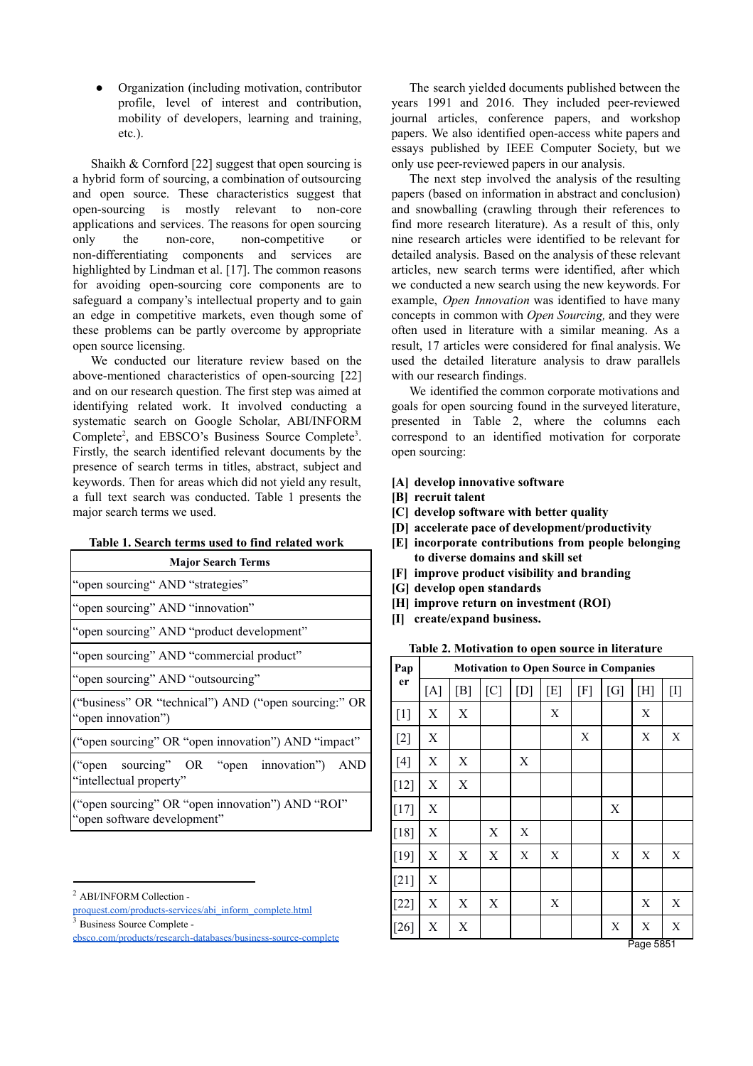Organization (including motivation, contributor profile, level of interest and contribution, mobility of developers, learning and training, etc.).

Shaikh & Cornford [22] suggest that open sourcing is a hybrid form of sourcing, a combination of outsourcing and open source. These characteristics suggest that open-sourcing is mostly relevant to non-core applications and services. The reasons for open sourcing only the non-core, non-competitive or non-differentiating components and services are highlighted by Lindman et al. [17]. The common reasons for avoiding open-sourcing core components are to safeguard a company's intellectual property and to gain an edge in competitive markets, even though some of these problems can be partly overcome by appropriate open source licensing.

We conducted our literature review based on the above-mentioned characteristics of open-sourcing [22] and on our research question. The first step was aimed at identifying related work. It involved conducting a systematic search on Google Scholar, ABI/INFORM Complete<sup>2</sup>, and EBSCO's Business Source Complete<sup>3</sup>. Firstly, the search identified relevant documents by the presence of search terms in titles, abstract, subject and keywords. Then for areas which did not yield any result, a full text search was conducted. Table 1 presents the major search terms we used.

| Table 1. Search terms used to find related work |  |  |  |  |
|-------------------------------------------------|--|--|--|--|
|                                                 |  |  |  |  |

| <b>Major Search Terms</b>                                                       |  |  |  |  |  |
|---------------------------------------------------------------------------------|--|--|--|--|--|
| "open sourcing" AND "strategies"                                                |  |  |  |  |  |
| "open sourcing" AND "innovation"                                                |  |  |  |  |  |
| "open sourcing" AND "product development"                                       |  |  |  |  |  |
| "open sourcing" AND "commercial product"                                        |  |  |  |  |  |
| "open sourcing" AND "outsourcing"                                               |  |  |  |  |  |
| ("business" OR "technical") AND ("open sourcing:" OR<br>"open innovation")      |  |  |  |  |  |
| ("open sourcing" OR "open innovation") AND "impact"                             |  |  |  |  |  |
| ("open sourcing" OR "open innovation") AND<br>"intellectual property"           |  |  |  |  |  |
| ("open sourcing" OR "open innovation") AND "ROI"<br>"open software development" |  |  |  |  |  |

<sup>3</sup> Business Source Complete -

The search yielded documents published between the years 1991 and 2016. They included peer-reviewed journal articles, conference papers, and workshop papers. We also identified open-access white papers and essays published by IEEE Computer Society, but we only use peer-reviewed papers in our analysis.

The next step involved the analysis of the resulting papers (based on information in abstract and conclusion) and snowballing (crawling through their references to find more research literature). As a result of this, only nine research articles were identified to be relevant for detailed analysis. Based on the analysis of these relevant articles, new search terms were identified, after which we conducted a new search using the new keywords. For example, *Open Innovation* was identified to have many concepts in common with *Open Sourcing,* and they were often used in literature with a similar meaning. As a result, 17 articles were considered for final analysis. We used the detailed literature analysis to draw parallels with our research findings.

We identified the common corporate motivations and goals for open sourcing found in the surveyed literature, presented in Table 2, where the columns each correspond to an identified motivation for corporate open sourcing:

- **[A] develop innovative software**
- **[B] recruit talent**
- **[C] develop software with better quality**
- **[D] accelerate pace of development/productivity**
- **[E] incorporate contributions from people belonging to diverse domains and skill set**
- **[F] improve product visibility and branding**
- **[G] develop open standards**
- **[H] improve return on investment (ROI)**
- **[I] create/expand business.**

**Table 2. Motivation to open source in literature**

| Pap    | <b>Motivation to Open Source in Companies</b> |     |     |     |     |     |     |         |                 |
|--------|-----------------------------------------------|-----|-----|-----|-----|-----|-----|---------|-----------------|
| er     | [A]                                           | [B] | [C] | [D] | [E] | [F] | [G] | [H]     | $[1]$           |
| $[1]$  | X                                             | X   |     |     | X   |     |     | X       |                 |
| $[2]$  | X                                             |     |     |     |     | Х   |     | X       | X               |
| $[4]$  | Χ                                             | X   |     | X   |     |     |     |         |                 |
| $[12]$ | X                                             | X   |     |     |     |     |     |         |                 |
| $[17]$ | X                                             |     |     |     |     |     | X   |         |                 |
| [18]   | X                                             |     | X   | X   |     |     |     |         |                 |
| $[19]$ | X                                             | X   | X   | X   | X   |     | X   | X       | X               |
| $[21]$ | X                                             |     |     |     |     |     |     |         |                 |
| $[22]$ | X                                             | X   | X   |     | X   |     |     | X       | X               |
| $[26]$ | X                                             | X   |     |     |     |     | X   | X<br>D. | X<br><b>COL</b> |

Page 5851

<sup>2</sup> ABI/INFORM Collection -

[proquest.com/products-services/abi\\_inform\\_complete.html](https://www.proquest.com/products-services/abi_inform_complete.html)

[ebsco.com/products/research-databases/business-source-complete](https://www.ebsco.com/products/research-databases/business-source-complete)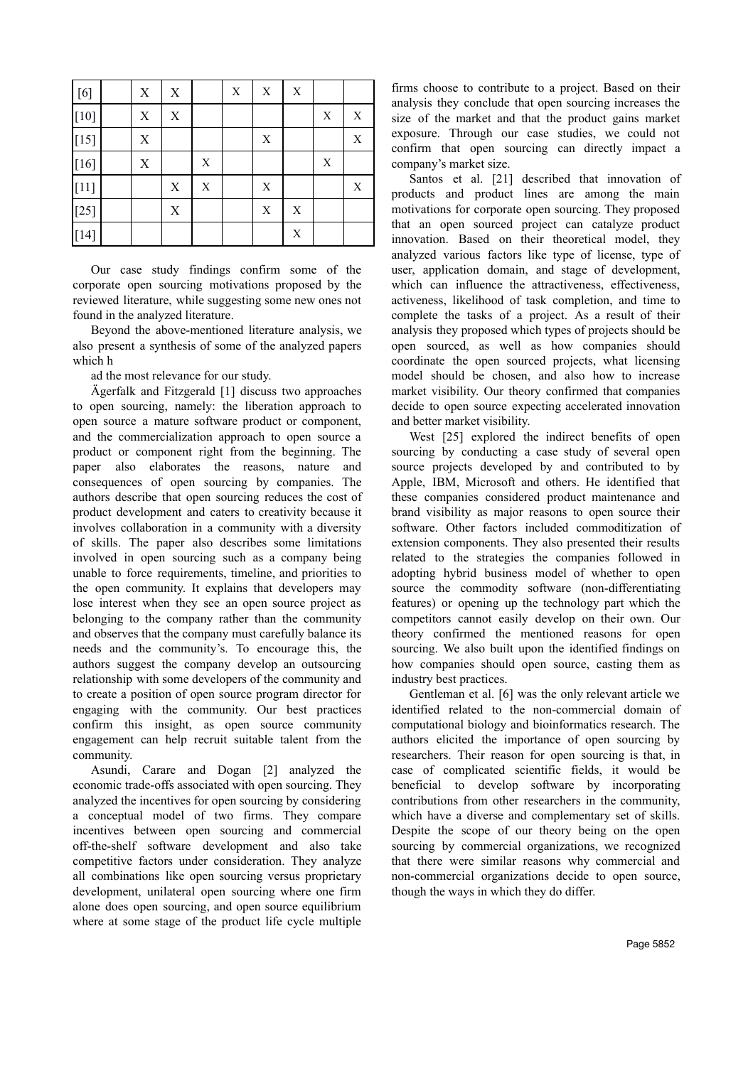| $[6]$             | $\mathbf X$ | X |   | $\mathbf X$ | $\mathbf X$ | X           |             |             |
|-------------------|-------------|---|---|-------------|-------------|-------------|-------------|-------------|
| $[10]$            | $\mathbf X$ | X |   |             |             |             | $\mathbf X$ | X           |
| $[15]$            | X           |   |   |             | $\mathbf X$ |             |             | $\mathbf X$ |
| $[16]$            | $\mathbf X$ |   | X |             |             |             | $\mathbf X$ |             |
| $\left[11\right]$ |             | X | X |             | $\mathbf X$ |             |             | X           |
| $[25]$            |             | X |   |             | $\mathbf X$ | $\mathbf X$ |             |             |
| $[14]$            |             |   |   |             |             | $\mathbf X$ |             |             |

Our case study findings confirm some of the corporate open sourcing motivations proposed by the reviewed literature, while suggesting some new ones not found in the analyzed literature.

Beyond the above-mentioned literature analysis, we also present a synthesis of some of the analyzed papers which h

ad the most relevance for our study.

Ägerfalk and Fitzgerald [1] discuss two approaches to open sourcing, namely: the liberation approach to open source a mature software product or component, and the commercialization approach to open source a product or component right from the beginning. The paper also elaborates the reasons, nature and consequences of open sourcing by companies. The authors describe that open sourcing reduces the cost of product development and caters to creativity because it involves collaboration in a community with a diversity of skills. The paper also describes some limitations involved in open sourcing such as a company being unable to force requirements, timeline, and priorities to the open community. It explains that developers may lose interest when they see an open source project as belonging to the company rather than the community and observes that the company must carefully balance its needs and the community's. To encourage this, the authors suggest the company develop an outsourcing relationship with some developers of the community and to create a position of open source program director for engaging with the community. Our best practices confirm this insight, as open source community engagement can help recruit suitable talent from the community.

Asundi, Carare and Dogan [2] analyzed the economic trade-offs associated with open sourcing. They analyzed the incentives for open sourcing by considering a conceptual model of two firms. They compare incentives between open sourcing and commercial off-the-shelf software development and also take competitive factors under consideration. They analyze all combinations like open sourcing versus proprietary development, unilateral open sourcing where one firm alone does open sourcing, and open source equilibrium where at some stage of the product life cycle multiple

firms choose to contribute to a project. Based on their analysis they conclude that open sourcing increases the size of the market and that the product gains market exposure. Through our case studies, we could not confirm that open sourcing can directly impact a company's market size.

Santos et al. [21] described that innovation of products and product lines are among the main motivations for corporate open sourcing. They proposed that an open sourced project can catalyze product innovation. Based on their theoretical model, they analyzed various factors like type of license, type of user, application domain, and stage of development, which can influence the attractiveness, effectiveness, activeness, likelihood of task completion, and time to complete the tasks of a project. As a result of their analysis they proposed which types of projects should be open sourced, as well as how companies should coordinate the open sourced projects, what licensing model should be chosen, and also how to increase market visibility. Our theory confirmed that companies decide to open source expecting accelerated innovation and better market visibility.

West [25] explored the indirect benefits of open sourcing by conducting a case study of several open source projects developed by and contributed to by Apple, IBM, Microsoft and others. He identified that these companies considered product maintenance and brand visibility as major reasons to open source their software. Other factors included commoditization of extension components. They also presented their results related to the strategies the companies followed in adopting hybrid business model of whether to open source the commodity software (non-differentiating features) or opening up the technology part which the competitors cannot easily develop on their own. Our theory confirmed the mentioned reasons for open sourcing. We also built upon the identified findings on how companies should open source, casting them as industry best practices.

Gentleman et al. [6] was the only relevant article we identified related to the non-commercial domain of computational biology and bioinformatics research. The authors elicited the importance of open sourcing by researchers. Their reason for open sourcing is that, in case of complicated scientific fields, it would be beneficial to develop software by incorporating contributions from other researchers in the community, which have a diverse and complementary set of skills. Despite the scope of our theory being on the open sourcing by commercial organizations, we recognized that there were similar reasons why commercial and non-commercial organizations decide to open source, though the ways in which they do differ.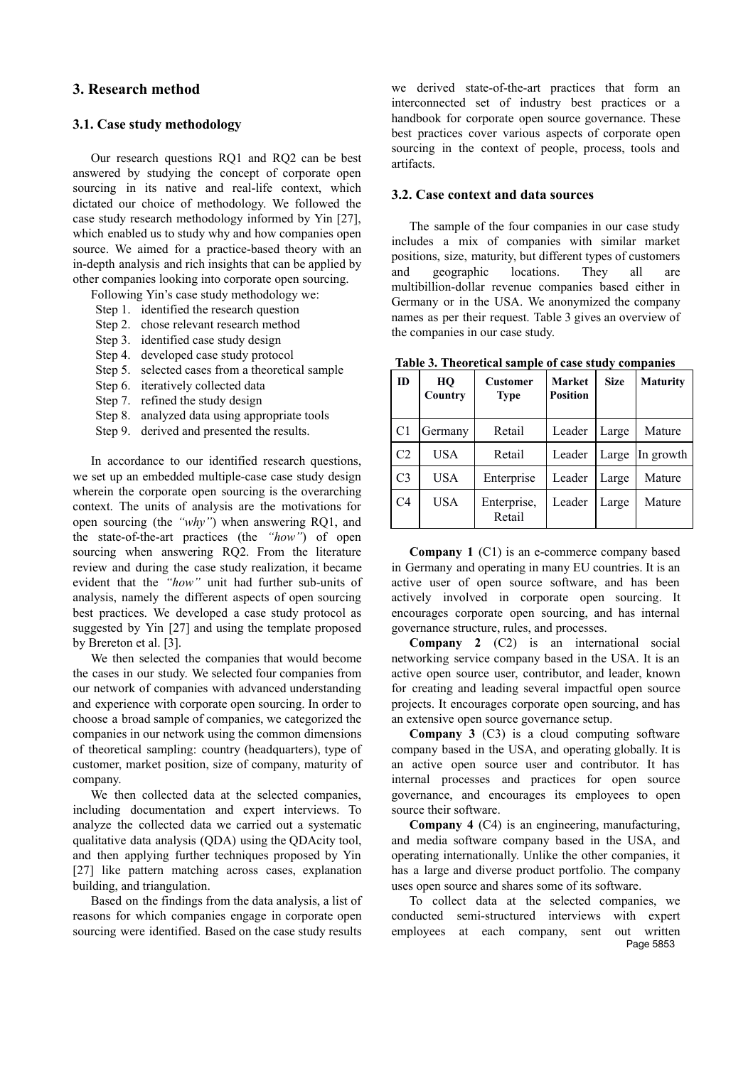## **3. Research method**

## **3.1. Case study methodology**

Our research questions RQ1 and RQ2 can be best answered by studying the concept of corporate open sourcing in its native and real-life context, which dictated our choice of methodology. We followed the case study research methodology informed by Yin [27], which enabled us to study why and how companies open source. We aimed for a practice-based theory with an in-depth analysis and rich insights that can be applied by other companies looking into corporate open sourcing.

Following Yin's case study methodology we:

- Step 1. identified the research question
- Step 2. chose relevant research method
- Step 3. identified case study design
- Step 4. developed case study protocol
- Step 5. selected cases from a theoretical sample
- Step 6. iteratively collected data
- Step 7. refined the study design
- Step 8. analyzed data using appropriate tools
- Step 9. derived and presented the results.

In accordance to our identified research questions, we set up an embedded multiple-case case study design wherein the corporate open sourcing is the overarching context. The units of analysis are the motivations for open sourcing (the *"why"*) when answering RQ1, and the state-of-the-art practices (the *"how"*) of open sourcing when answering RQ2. From the literature review and during the case study realization, it became evident that the *"how"* unit had further sub-units of analysis, namely the different aspects of open sourcing best practices. We developed a case study protocol as suggested by Yin [27] and using the template proposed by Brereton et al. [3].

We then selected the companies that would become the cases in our study. We selected four companies from our network of companies with advanced understanding and experience with corporate open sourcing. In order to choose a broad sample of companies, we categorized the companies in our network using the common dimensions of theoretical sampling: country (headquarters), type of customer, market position, size of company, maturity of company.

We then collected data at the selected companies, including documentation and expert interviews. To analyze the collected data we carried out a systematic qualitative data analysis (QDA) using the QDAcity tool, and then applying further techniques proposed by Yin [27] like pattern matching across cases, explanation building, and triangulation.

Based on the findings from the data analysis, a list of reasons for which companies engage in corporate open sourcing were identified. Based on the case study results we derived state-of-the-art practices that form an interconnected set of industry best practices or a handbook for corporate open source governance. These best practices cover various aspects of corporate open sourcing in the context of people, process, tools and artifacts.

#### **3.2. Case context and data sources**

The sample of the four companies in our case study includes a mix of companies with similar market positions, size, maturity, but different types of customers and geographic locations. They all are multibillion-dollar revenue companies based either in Germany or in the USA. We anonymized the company names as per their request. Table 3 gives an overview of the companies in our case study.

| ID             | HO<br>Country | тарк э. тисясисаг затрк от сазс зицу сотранку<br><b>Customer</b><br><b>Type</b> | <b>Market</b><br><b>Position</b> | <b>Size</b> | <b>Maturity</b> |
|----------------|---------------|---------------------------------------------------------------------------------|----------------------------------|-------------|-----------------|
| C1             | Germany       | Retail                                                                          | Leader                           | Large       | Mature          |
| C2             | USA           | Retail                                                                          | Leader                           | Large       | In growth       |
| C <sub>3</sub> | USA           | Enterprise                                                                      | Leader                           | Large       | Mature          |
| C4             | USA           | Enterprise,<br>Retail                                                           | Leader                           | Large       | Mature          |

**Table 3. Theoretical sample of case study companies**

**Company 1** (C1) is an e-commerce company based in Germany and operating in many EU countries. It is an active user of open source software, and has been actively involved in corporate open sourcing. It encourages corporate open sourcing, and has internal governance structure, rules, and processes.

**Company 2** (C2) is an international social networking service company based in the USA. It is an active open source user, contributor, and leader, known for creating and leading several impactful open source projects. It encourages corporate open sourcing, and has an extensive open source governance setup.

**Company 3** (C3) is a cloud computing software company based in the USA, and operating globally. It is an active open source user and contributor. It has internal processes and practices for open source governance, and encourages its employees to open source their software.

**Company 4** (C4) is an engineering, manufacturing, and media software company based in the USA, and operating internationally. Unlike the other companies, it has a large and diverse product portfolio. The company uses open source and shares some of its software.

To collect data at the selected companies, we conducted semi-structured interviews with expert employees at each company, sent out written Page 5853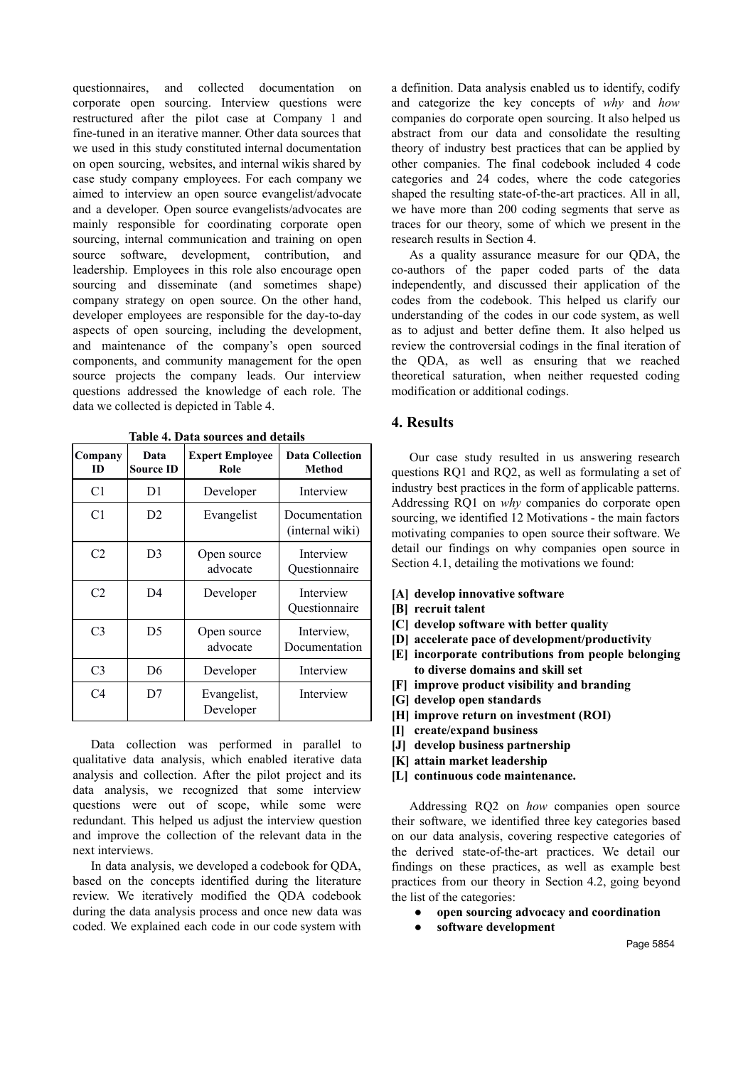questionnaires, and collected documentation on corporate open sourcing. Interview questions were restructured after the pilot case at Company 1 and fine-tuned in an iterative manner. Other data sources that we used in this study constituted internal documentation on open sourcing, websites, and internal wikis shared by case study company employees. For each company we aimed to interview an open source evangelist/advocate and a developer. Open source evangelists/advocates are mainly responsible for coordinating corporate open sourcing, internal communication and training on open source software, development, contribution, and leadership. Employees in this role also encourage open sourcing and disseminate (and sometimes shape) company strategy on open source. On the other hand, developer employees are responsible for the day-to-day aspects of open sourcing, including the development, and maintenance of the company's open sourced components, and community management for the open source projects the company leads. Our interview questions addressed the knowledge of each role. The data we collected is depicted in Table 4.

| Company<br>ID  | Data<br><b>Source ID</b> | <b>Expert Employee</b><br>Role | <b>Data Collection</b><br>Method |
|----------------|--------------------------|--------------------------------|----------------------------------|
| C1             | D1                       | Developer                      | Interview                        |
| C1             | D <sub>2</sub>           | Evangelist                     | Documentation<br>(internal wiki) |
| C <sub>2</sub> | D3                       | Open source<br>advocate        | Interview<br>Ouestionnaire       |
| C <sub>2</sub> | D <sub>4</sub>           | Developer                      | Interview<br>Questionnaire       |
| C <sub>3</sub> | D5                       | Open source<br>advocate        | Interview,<br>Documentation      |
| C <sub>3</sub> | D6                       | Developer                      | Interview                        |
| C <sub>4</sub> | D7                       | Evangelist,<br>Developer       | Interview                        |

**Table 4. Data sources and details**

Data collection was performed in parallel to qualitative data analysis, which enabled iterative data analysis and collection. After the pilot project and its data analysis, we recognized that some interview questions were out of scope, while some were redundant. This helped us adjust the interview question and improve the collection of the relevant data in the next interviews.

In data analysis, we developed a codebook for QDA, based on the concepts identified during the literature review. We iteratively modified the QDA codebook during the data analysis process and once new data was coded. We explained each code in our code system with a definition. Data analysis enabled us to identify, codify and categorize the key concepts of *why* and *how* companies do corporate open sourcing. It also helped us abstract from our data and consolidate the resulting theory of industry best practices that can be applied by other companies. The final codebook included 4 code categories and 24 codes, where the code categories shaped the resulting state-of-the-art practices. All in all, we have more than 200 coding segments that serve as traces for our theory, some of which we present in the research results in Section 4.

As a quality assurance measure for our QDA, the co-authors of the paper coded parts of the data independently, and discussed their application of the codes from the codebook. This helped us clarify our understanding of the codes in our code system, as well as to adjust and better define them. It also helped us review the controversial codings in the final iteration of the QDA, as well as ensuring that we reached theoretical saturation, when neither requested coding modification or additional codings.

### **4. Results**

Our case study resulted in us answering research questions RQ1 and RQ2, as well as formulating a set of industry best practices in the form of applicable patterns. Addressing RQ1 on *why* companies do corporate open sourcing, we identified 12 Motivations - the main factors motivating companies to open source their software. We detail our findings on why companies open source in Section 4.1, detailing the motivations we found:

- **[A] develop innovative software**
- **[B] recruit talent**
- **[C] develop software with better quality**
- **[D] accelerate pace of development/productivity**
- **[E] incorporate contributions from people belonging to diverse domains and skill set**
- **[F] improve product visibility and branding**
- **[G] develop open standards**
- **[H] improve return on investment (ROI)**
- **[I] create/expand business**
- **[J] develop business partnership**
- **[K] attain market leadership**
- **[L] continuous code maintenance.**

Addressing RQ2 on *how* companies open source their software, we identified three key categories based on our data analysis, covering respective categories of the derived state-of-the-art practices. We detail our findings on these practices, as well as example best practices from our theory in Section 4.2, going beyond the list of the categories:

- **● open sourcing advocacy and coordination**
- **● software development**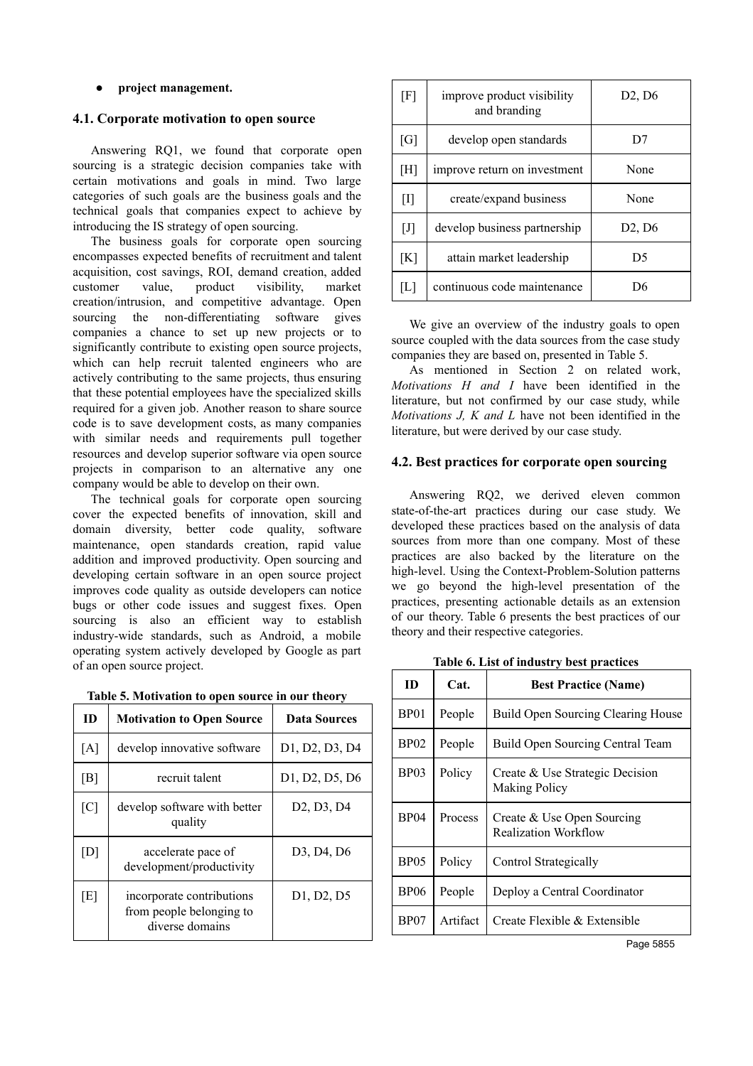#### **● project management.**

## **4.1. Corporate motivation to open source**

Answering RQ1, we found that corporate open sourcing is a strategic decision companies take with certain motivations and goals in mind. Two large categories of such goals are the business goals and the technical goals that companies expect to achieve by introducing the IS strategy of open sourcing.

The business goals for corporate open sourcing encompasses expected benefits of recruitment and talent acquisition, cost savings, ROI, demand creation, added customer value, product visibility, market creation/intrusion, and competitive advantage. Open sourcing the non-differentiating software gives companies a chance to set up new projects or to significantly contribute to existing open source projects, which can help recruit talented engineers who are actively contributing to the same projects, thus ensuring that these potential employees have the specialized skills required for a given job. Another reason to share source code is to save development costs, as many companies with similar needs and requirements pull together resources and develop superior software via open source projects in comparison to an alternative any one company would be able to develop on their own.

The technical goals for corporate open sourcing cover the expected benefits of innovation, skill and domain diversity, better code quality, software maintenance, open standards creation, rapid value addition and improved productivity. Open sourcing and developing certain software in an open source project improves code quality as outside developers can notice bugs or other code issues and suggest fixes. Open sourcing is also an efficient way to establish industry-wide standards, such as Android, a mobile operating system actively developed by Google as part of an open source project.

|  |  | Table 5. Motivation to open source in our theory |  |  |
|--|--|--------------------------------------------------|--|--|
|  |  |                                                  |  |  |

| ID             | <b>Motivation to Open Source</b>                                         | <b>Data Sources</b>                              |
|----------------|--------------------------------------------------------------------------|--------------------------------------------------|
| [A]            | develop innovative software                                              | D1, D2, D3, D4                                   |
| [B]            | recruit talent                                                           | D1, D2, D5, D6                                   |
| [C]            | develop software with better<br>quality                                  | D <sub>2</sub> , D <sub>3</sub> , D <sub>4</sub> |
| $\mathsf{[D]}$ | accelerate pace of<br>development/productivity                           | D3, D4, D6                                       |
| [E]            | incorporate contributions<br>from people belonging to<br>diverse domains | D <sub>1</sub> , D <sub>2</sub> , D <sub>5</sub> |

| [F]   | improve product visibility<br>and branding | D2, D6                          |
|-------|--------------------------------------------|---------------------------------|
| [G]   | develop open standards                     | D7                              |
| [H]   | improve return on investment               | None                            |
|       | create/expand business                     | None                            |
| $[J]$ | develop business partnership               | D <sub>2</sub> , D <sub>6</sub> |
| [K]   | attain market leadership                   | D5                              |
| L     | continuous code maintenance                |                                 |

We give an overview of the industry goals to open source coupled with the data sources from the case study companies they are based on, presented in Table 5.

As mentioned in Section 2 on related work, *Motivations H and I* have been identified in the literature, but not confirmed by our case study, while *Motivations J, K and L* have not been identified in the literature, but were derived by our case study.

## **4.2. Best practices for corporate open sourcing**

Answering RQ2, we derived eleven common state-of-the-art practices during our case study. We developed these practices based on the analysis of data sources from more than one company. Most of these practices are also backed by the literature on the high-level. Using the Context-Problem-Solution patterns we go beyond the high-level presentation of the practices, presenting actionable details as an extension of our theory. Table 6 presents the best practices of our theory and their respective categories.

| ID               | Cat.     | <b>Best Practice (Name)</b>                             |
|------------------|----------|---------------------------------------------------------|
| BP01             | People   | <b>Build Open Sourcing Clearing House</b>               |
| BP02             | People   | Build Open Sourcing Central Team                        |
| <b>BP03</b>      | Policy   | Create & Use Strategic Decision<br><b>Making Policy</b> |
| <b>BP04</b>      | Process  | Create & Use Open Sourcing<br>Realization Workflow      |
| <b>BP05</b>      | Policy   | Control Strategically                                   |
| <b>BP06</b>      | People   | Deploy a Central Coordinator                            |
| BP <sub>07</sub> | Artifact | Create Flexible & Extensible                            |

**Table 6. List of industry best practices**

Page 5855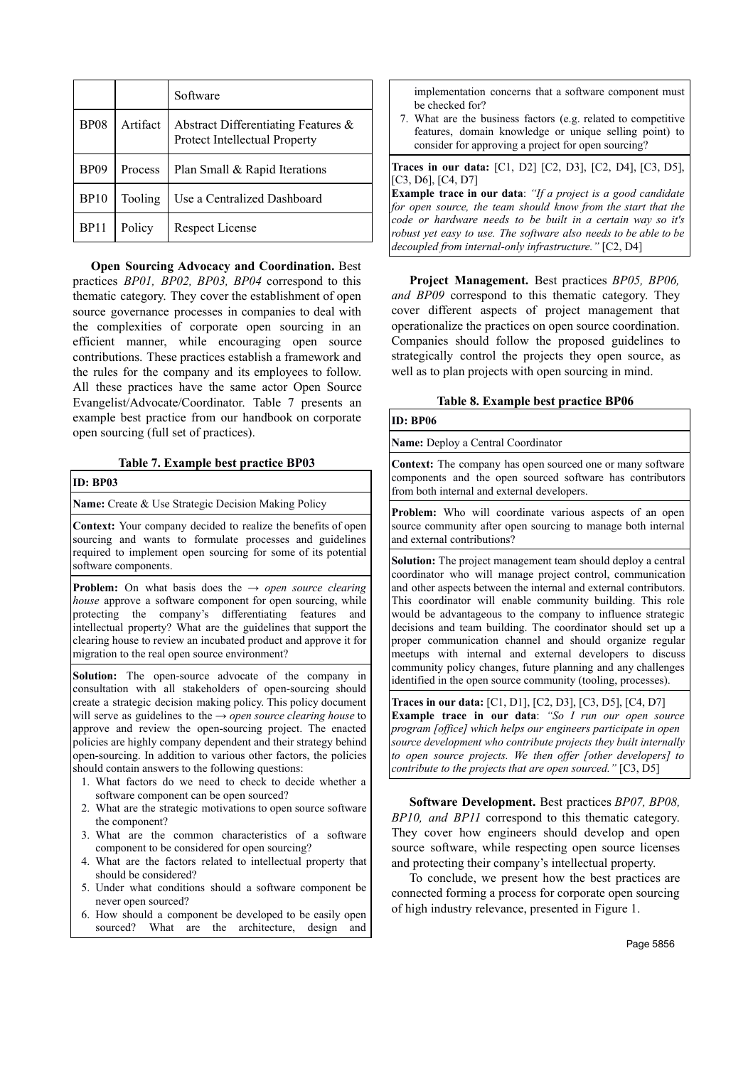|             |          | Software                                                             |
|-------------|----------|----------------------------------------------------------------------|
| <b>BP08</b> | Artifact | Abstract Differentiating Features &<br>Protect Intellectual Property |
| <b>BP09</b> | Process  | Plan Small & Rapid Iterations                                        |
| <b>BP10</b> | Tooling  | Use a Centralized Dashboard                                          |
| BP11        | Policy   | Respect License                                                      |

**Open Sourcing Advocacy and Coordination.** Best practices *BP01, BP02, BP03, BP04* correspond to this thematic category. They cover the establishment of open source governance processes in companies to deal with the complexities of corporate open sourcing in an efficient manner, while encouraging open source contributions. These practices establish a framework and the rules for the company and its employees to follow. All these practices have the same actor Open Source Evangelist/Advocate/Coordinator. Table 7 presents an example best practice from our handbook on corporate open sourcing (full set of practices).

### **Table 7. Example best practice BP03**

#### **ID: BP03**

**Name:** Create & Use Strategic Decision Making Policy

**Context:** Your company decided to realize the benefits of open sourcing and wants to formulate processes and guidelines required to implement open sourcing for some of its potential software components.

**Problem:** On what basis does the  $\rightarrow$  *open source clearing house* approve a software component for open sourcing, while protecting the company's differentiating features and intellectual property? What are the guidelines that support the clearing house to review an incubated product and approve it for migration to the real open source environment?

**Solution:** The open-source advocate of the company in consultation with all stakeholders of open-sourcing should create a strategic decision making policy. This policy document will serve as guidelines to the → *open source clearing house* to approve and review the open-sourcing project. The enacted policies are highly company dependent and their strategy behind open-sourcing. In addition to various other factors, the policies should contain answers to the following questions:

- 1. What factors do we need to check to decide whether a software component can be open sourced?
- 2. What are the strategic motivations to open source software the component?
- 3. What are the common characteristics of a software component to be considered for open sourcing?
- 4. What are the factors related to intellectual property that should be considered?
- 5. Under what conditions should a software component be never open sourced?
- 6. How should a component be developed to be easily open sourced? What are the architecture, design and

implementation concerns that a software component must be checked for?

7. What are the business factors (e.g. related to competitive features, domain knowledge or unique selling point) to consider for approving a project for open sourcing?

**Traces in our data:** [C1, D2] [C2, D3], [C2, D4], [C3, D5], [C3, D6], [C4, D7]

**Example trace in our data:** "If a project is a good candidate for open source, the team should know from the start that the *code or hardware needs to be built in a certain way so it's robust yet easy to use. The software also needs to be able to be decoupled from internal-only infrastructure."* [C2, D4]

**Project Management.** Best practices *BP05, BP06, and BP09* correspond to this thematic category. They cover different aspects of project management that operationalize the practices on open source coordination. Companies should follow the proposed guidelines to strategically control the projects they open source, as well as to plan projects with open sourcing in mind.

|  | Table 8. Example best practice BP06 |  |  |  |
|--|-------------------------------------|--|--|--|
|--|-------------------------------------|--|--|--|

**ID: BP06 Name:** Deploy a Central Coordinator **Context:** The company has open sourced one or many software components and the open sourced software has contributors from both internal and external developers.

**Problem:** Who will coordinate various aspects of an open source community after open sourcing to manage both internal and external contributions?

**Solution:** The project management team should deploy a central coordinator who will manage project control, communication and other aspects between the internal and external contributors. This coordinator will enable community building. This role would be advantageous to the company to influence strategic decisions and team building. The coordinator should set up a proper communication channel and should organize regular meetups with internal and external developers to discuss community policy changes, future planning and any challenges identified in the open source community (tooling, processes).

**Traces in our data:** [C1, D1], [C2, D3], [C3, D5], [C4, D7] **Example trace in our data:** "So I run our open source *program [office] which helps our engineers participate in open source development who contribute projects they built internally to open source projects. We then offer [other developers] to contribute to the projects that are open sourced."* [C3, D5]

**Software Development.** Best practices *BP07, BP08, BP10, and BP11* correspond to this thematic category. They cover how engineers should develop and open source software, while respecting open source licenses and protecting their company's intellectual property.

To conclude, we present how the best practices are connected forming a process for corporate open sourcing of high industry relevance, presented in Figure 1.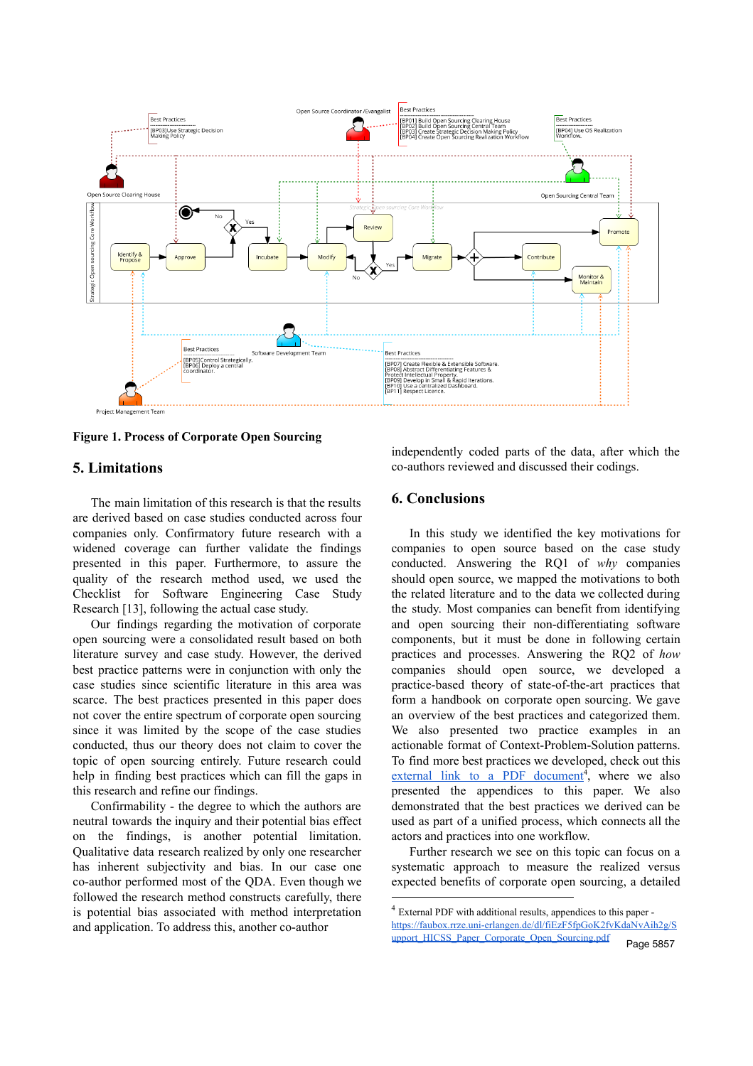

**Figure 1. Process of Corporate Open Sourcing**

## **5. Limitations**

The main limitation of this research is that the results are derived based on case studies conducted across four companies only. Confirmatory future research with a widened coverage can further validate the findings presented in this paper. Furthermore, to assure the quality of the research method used, we used the Checklist for Software Engineering Case Study Research [13], following the actual case study.

Our findings regarding the motivation of corporate open sourcing were a consolidated result based on both literature survey and case study. However, the derived best practice patterns were in conjunction with only the case studies since scientific literature in this area was scarce. The best practices presented in this paper does not cover the entire spectrum of corporate open sourcing since it was limited by the scope of the case studies conducted, thus our theory does not claim to cover the topic of open sourcing entirely. Future research could help in finding best practices which can fill the gaps in this research and refine our findings.

Confirmability - the degree to which the authors are neutral towards the inquiry and their potential bias effect on the findings, is another potential limitation. Qualitative data research realized by only one researcher has inherent subjectivity and bias. In our case one co-author performed most of the QDA. Even though we followed the research method constructs carefully, there is potential bias associated with method interpretation and application. To address this, another co-author

independently coded parts of the data, after which the co-authors reviewed and discussed their codings.

## **6. Conclusions**

In this study we identified the key motivations for companies to open source based on the case study conducted. Answering the RQ1 of *why* companies should open source, we mapped the motivations to both the related literature and to the data we collected during the study. Most companies can benefit from identifying and open sourcing their non-differentiating software components, but it must be done in following certain practices and processes. Answering the RQ2 of *how* companies should open source, we developed a practice-based theory of state-of-the-art practices that form a handbook on corporate open sourcing. We gave an overview of the best practices and categorized them. We also presented two practice examples in an actionable format of Context-Problem-Solution patterns. To find more best practices we developed, check out this external link to a PDF [document](https://faubox.rrze.uni-erlangen.de/dl/fiEzF5fpGoK2fvKdaNvAih2g/Support_HICSS_Paper_Corporate_Open_Sourcing.pdf)<sup>4</sup>, where we also presented the appendices to this paper. We also demonstrated that the best practices we derived can be used as part of a unified process, which connects all the actors and practices into one workflow.

Further research we see on this topic can focus on a systematic approach to measure the realized versus expected benefits of corporate open sourcing, a detailed

<sup>4</sup> External PDF with additional results, appendices to this paper [https://faubox.rrze.uni-erlangen.de/dl/fiEzF5fpGoK2fvKdaNvAih2g/S](https://faubox.rrze.uni-erlangen.de/dl/fiEzF5fpGoK2fvKdaNvAih2g/Support_HICSS_Paper_Corporate_Open_Sourcing.pdf) [upport\\_HICSS\\_Paper\\_Corporate\\_Open\\_Sourcing.pdf](https://faubox.rrze.uni-erlangen.de/dl/fiEzF5fpGoK2fvKdaNvAih2g/Support_HICSS_Paper_Corporate_Open_Sourcing.pdf) Page 5857